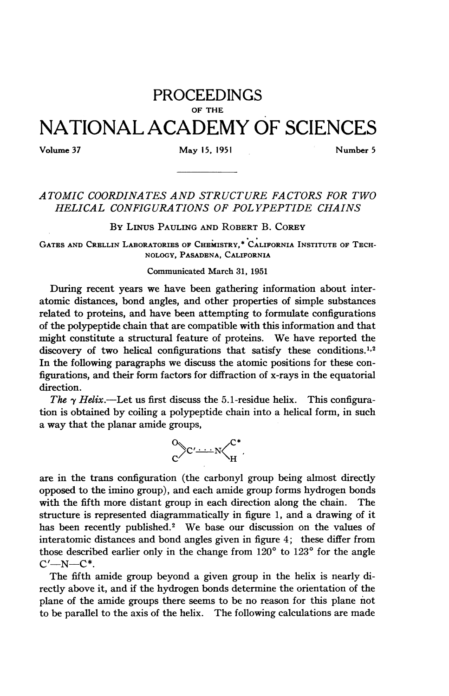## PROCEEDINGS OF THE NATIONAL ACADEMY OF SCIENCES

## Volume 37 May 15, 1951 Mumber 5

## ATOMIC COORDINATES AND STRUCTURE FACTORS FOR TWO HELICAL CONFIGURATIONS OF POL YPEPTIDE CHAINS

BY LINUs PAULING AND ROBERT B. CoREY

GATES AND CRELLIN LABORATORIES OF CHEMISTRY,\* CALIFORNIA INSTITUTE OF TECH-NOLOGY, PASADENA, CALIFORNIA

## Communicated March 31, 1951

During recent years we have been gathering information about interatomic distances, bond angles, and other properties of simple substances related to proteins, and have been attempting to formulate configurations of the polypeptide chain that are compatible with this information and that might constitute <sup>a</sup> structural feature of proteins. We have reported the discovery of two helical configurations that satisfy these conditions.<sup>1,2</sup> In the following paragraphs we discuss the atomic positions for these configurations, and their form factors for diffraction of x-rays in the equatorial direction.

The  $\gamma$  Helix.—Let us first discuss the 5.1-residue helix. This configuration is obtained by coiling a polypeptide chain into a helical form, in such a way that the planar amide groups,



are in the trans configuration (the carbonyl group being almost directly opposed to the imino group), and each amide group forms hydrogen bonds with the fifth more distant group in each direction along the chain. The structure is represented diagrammatically in figure 1, and a drawing of it has been recently published.<sup>2</sup> We base our discussion on the values of interatomic distances and bond angles given in figure 4; these differ from those described earlier only in the change from  $120^{\circ}$  to  $123^{\circ}$  for the angle  $C'$ -N- $C^*$ .

The fifth amide group beyond a given group in the helix is nearly directly above it, and if the hydrogen bonds determine the orientation of the plane of the amide groups there seems to be no reason for this plane not to be parallel to the axis of the helix. The following calculations are made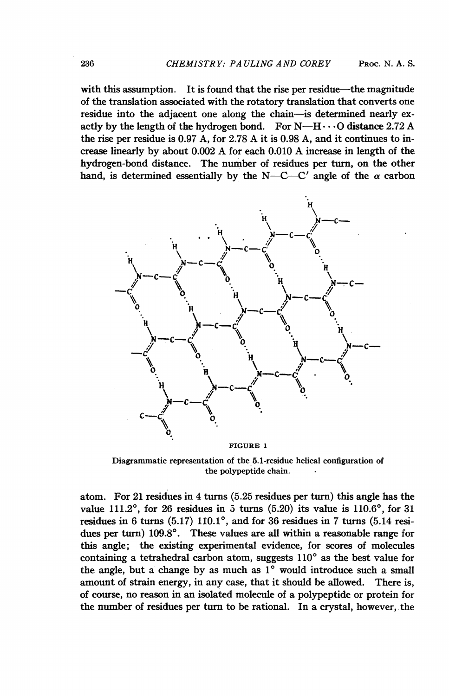with this assumption. It is found that the rise per residue—the magnitude of the translation associated with the rotatory translation that converts one residue into the adjacent one along the chain-is determined nearly exactly by the length of the hydrogen bond. For  $N-H\cdots$ O distance 2.72 A the rise per residue is 0.97 A, for 2.78 A it is 0.98 A, and it continues to increase linearly by about 0.002 A for each 0.010 A increase in length of the hydrogen-bond distance. The number of residues per turn, on the other hand, is determined essentially by the N-C-C' angle of the  $\alpha$  carbon



FIGURE <sup>1</sup>

Diagrammatic representation of the 5.1-residue helical configuration of the polypeptide chain.

atom. For 21 residues in 4 turns (5.25 residues per turn) this angle has the value 111.2°, for 26 residues in 5 turns  $(5.20)$  its value is 110.6°, for 31 residues in 6 turns  $(5.17)$  110.1°, and for 36 residues in 7 turns  $(5.14$  residues per turn)  $109.8^\circ$ . These values are all within a reasonable range for this angle; the existing experimental evidence, for scores of molecules containing a tetrahedral carbon atom, suggests  $110^{\circ}$  as the best value for the angle, but a change by as much as  $1^\circ$  would introduce such a small amount of strain energy, in any case, that it should be allowed. There is, of course, no reason in an isolated molecule of a polypeptide or protein for the number of residues per turn to be rational. In a crystal, however, the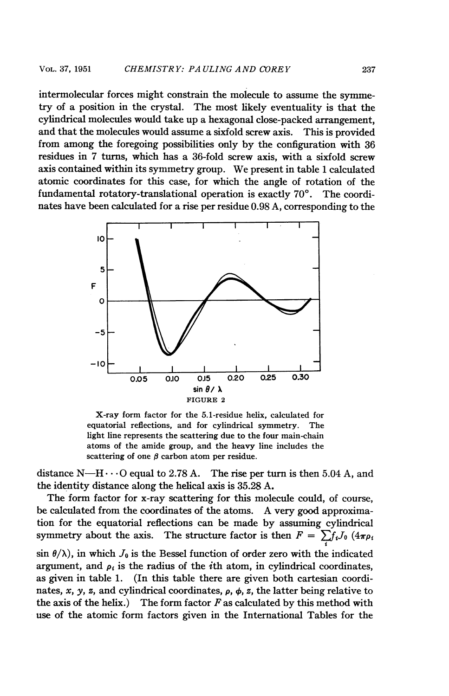intermolecular forces might constrain the molecule to assume the symmetry of a position in the crystal. The most likely eventuality is that the cylindrical molecules would take up a hexagonal close-packed arrangement, and that the molecules would assume a sixfold screw axis. This is provided from among the foregoing possibilities only by the configuration with 36 residues in 7 turns, which has a 36-fold screw axis, with a sixfold screw axis contained within its symmetry group. We present in table <sup>1</sup> calculated atomic coordinates for this case, for which the angle of rotation of the fundamental rotatory-translational operation is exactly  $70^{\circ}$ . The coordinates have been calculated for a rise per residue 0.98 A, corresponding to the



X-ray form factor for the 5.1-residue helix, calculated for equatorial reflections, and for cylindrical symmetry. The light line represents the scattering due to the four main-chain atoms of the amide group, and the heavy line includes the scattering of one  $\beta$  carbon atom per residue.

distance N—H $\cdots$ O equal to 2.78 A. The rise per turn is then 5.04 A, and the identity distance along the helical axis is 35.28 A.

The form factor for x-ray scattering for this molecule could, of course, be calculated from the coordinates of the atoms. A very good approximation for the equatorial reflections can be made by assuming cylindrical symmetry about the axis. The structure factor is then  $F = \sum f_i J_0 (4\pi \rho_i)$  $\sin \theta / \lambda$ , in which  $J_0$  is the Bessel function of order zero with the indicated argument, and  $\rho_i$  is the radius of the *i*th atom, in cylindrical coordinates, as given in table 1. (In this table there are given both cartesian coordinates, x, y, z, and cylindrical coordinates,  $\rho$ ,  $\phi$ , z, the latter being relative to the axis of the helix.) The form factor  $F$  as calculated by this method with use of the atomic form factors given in the International Tables for the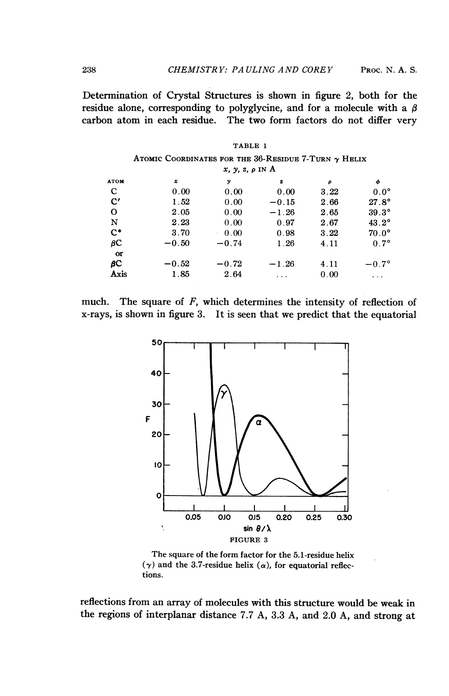Determination of Crystal Structures is shown in figure 2, both for the residue alone, corresponding to polyglycine, and for a molecule with a  $\beta$ carbon atom in each residue. The two form factors do not differ very

|               |                                                             |                  | TABLE 1                       |      |              |
|---------------|-------------------------------------------------------------|------------------|-------------------------------|------|--------------|
|               | ATOMIC COORDINATES FOR THE 36-RESIDUE 7-TURN $\gamma$ HELIX |                  |                               |      |              |
|               |                                                             |                  | $x, y, z, \rho \text{ IN } A$ |      |              |
| <b>ATOM</b>   | $\pmb{\mathcal{X}}$                                         | $\boldsymbol{y}$ | z                             | ρ    | φ            |
| C             | 0.00                                                        | 0.00             | 0.00                          | 3.22 | $0.0^\circ$  |
| $\mathbf{C}'$ | 1.52                                                        | 0.00             | $-0.15$                       | 2.66 | $27.8^\circ$ |
| O             | 2.05                                                        | 0.00             | $-1.26$                       | 2.65 | $39.3^\circ$ |
| N             | 2.23                                                        | 0.00             | 0.97                          | 2.67 | $43.2^\circ$ |
| $C^*$         | 3.70                                                        | 0.00<br>×.       | 0.98                          | 3.22 | $70.0^\circ$ |
| βC            | $-0.50$                                                     | $-0.74$          | 1.26                          | 4.11 | $0.7^\circ$  |
| or            |                                                             |                  |                               |      |              |
| βC            | $-0.52$                                                     | $-0.72$          | $-1.26$                       | 4.11 | $-0.7^\circ$ |
| Axis          | 1.85                                                        | 2.64             |                               | 0.00 | $\cdots$     |

| much. The square of $F$ , which determines the intensity of reflection of    |  |  |
|------------------------------------------------------------------------------|--|--|
| x-rays, is shown in figure 3. It is seen that we predict that the equatorial |  |  |



The square of the form factor for the 5.1-residue helix  $(\gamma)$  and the 3.7-residue helix  $(\alpha)$ , for equatorial reflections.

reflections from an array of molecules with this structure would be weak in the regions of interplanar distance 7.7 A, 3.3 A, and 2.0 A, and strong at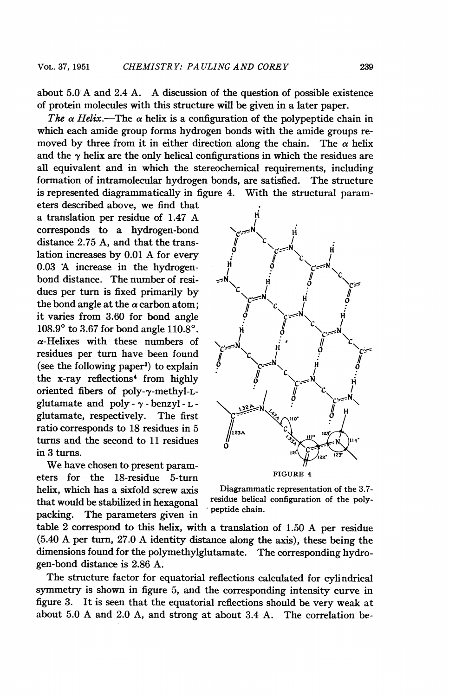about 5.0 A and 2.4 A. A discussion of the question of possible existence of protein molecules with this structure will be given in a later paper.

The  $\alpha$  Helix.—The  $\alpha$  helix is a configuration of the polypeptide chain in which each amide group forms hydrogen bonds with the amide groups removed by three from it in either direction along the chain. The  $\alpha$  helix and the  $\gamma$  helix are the only helical configurations in which the residues are all equivalent and in which the stereochemical requirements, including formation of intramolecular hydrogen bonds, are satisfied. The structure is represented diagrammatically in figure 4. With the structural param-

eters described above, we find that a translation per residue of 1.47 A corresponds to a hydrogen-bond distance  $2.75$  A, and that the translation increases by  $0.01$  A for every  $0.03$  A increase in the hydrogenbond distance. The number of residues per turn is fixed primarily by the bond angle at the  $\alpha$  carbon atom; it varies from  $3.60$  for bond angle  $108.9^{\circ}$  to 3.67 for bond angle  $110.8^{\circ}$ .  $\alpha$ -Helixes with these numbers of residues per turn have been found \C (see the following paper<sup>3</sup>) to explain the  $x$ -ray reflections<sup>4</sup> from highly oriented fibers of poly- $\gamma$ -methyl-Lglutamate and poly- $\gamma$ -benzyl-L-<br>glutamate, respectively. The first (see the following paper<sup>3</sup>) to explain  $\phi$ <br>
the x-ray reflections<sup>4</sup> from highly<br>
oriented fibers of poly- $\gamma$ -methyl-L-<br>
glutamate and poly- $\gamma$ -benzyl-L-<br>
glutamate, respectively. The first<br>
ratio corresponds to 18 re ratio corresponds to 18 residues in 5 turns and the second to 11 residues  $\frac{1}{2}$  is  $\frac{1}{2}$  turns.

We have chosen to present parameters for the 18-residue 5-turn FIGURE 4 helix, which has a sixfold screw axis Diagrammatic representation of the 3.7-<br>that would be stabilized in hexagonal residue helical configuration of the polythat would be stabilized in hexagonal residue helical residue helical configuration of the polypacking. The parameters given in



table <sup>2</sup> correspond to this helix, with <sup>a</sup> translation of 1.50 A per residue (5.40 A per turn, 27.0 A identity distance along the axis), these being the dimensions found for the polymethylglutamate. The corresponding hydrogen-bond distance is 2.86 A.

The structure factor for equatorial reflections calculated for cylindrical symmetry is shown in figure 5, and the corresponding intensity curve in figure 3. It is seen that the equatorial reflections should be very weak at about 5.0 A and 2.0 A, and strong at about 3.4 A. The correlation be